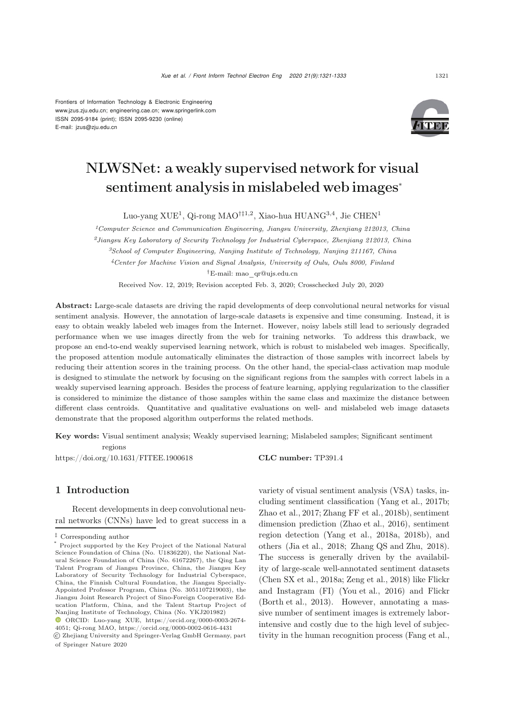Frontiers of Information Technology & Electronic Engineering [www.jzus.zju.edu.cn;](www.jzus.zju.edu.cn) [engineering.cae.cn;](engineering.cae.cn)<www.springerlink.com> ISSN 2095-9184 (print); ISSN 2095-9230 (online) E-mail: jzus@zju.edu.cn



# NLWSNet: a weakly supervised network for visual sentiment analysis in mislabeled web images<sup>∗</sup>

Luo-yang XUE<sup>1</sup>, Qi-rong MAO*†‡*1,2, Xiao-hua HUANG3,4, Jie CHEN<sup>1</sup>

*Computer Science and Communication Engineering, Jiangsu University, Zhenjiang 212013, China Jiangsu Key Laboratory of Security Technology for Industrial Cyberspace, Zhenjiang 212013, China School of Computer Engineering, Nanjing Institute of Technology, Nanjing 211167, China Center for Machine Vision and Signal Analysis, University of Oulu, Oulu 8000, Finland †*E-mail: mao\_qr@ujs.edu.cn

Received Nov. 12, 2019; Revision accepted Feb. 3, 2020; Crosschecked July 20, 2020

Abstract: Large-scale datasets are driving the rapid developments of deep convolutional neural networks for visual sentiment analysis. However, the annotation of large-scale datasets is expensive and time consuming. Instead, it is easy to obtain weakly labeled web images from the Internet. However, noisy labels still lead to seriously degraded performance when we use images directly from the web for training networks. To address this drawback, we propose an end-to-end weakly supervised learning network, which is robust to mislabeled web images. Specifically, the proposed attention module automatically eliminates the distraction of those samples with incorrect labels by reducing their attention scores in the training process. On the other hand, the special-class activation map module is designed to stimulate the network by focusing on the significant regions from the samples with correct labels in a weakly supervised learning approach. Besides the process of feature learning, applying regularization to the classifier is considered to minimize the distance of those samples within the same class and maximize the distance between different class centroids. Quantitative and qualitative evaluations on well- and mislabeled web image datasets demonstrate that the proposed algorithm outperforms the related methods.

Key words: Visual sentiment analysis; Weakly supervised learning; Mislabeled samples; Significant sentiment regions

https://doi.org/10.1631/FITEE.1900618 **CLC number:** TP391.4

# 1 Introduction

Recent developments in deep convolutional neural networks (CNNs) have led to great success in a

variety of visual sentiment analysis (VSA) tasks, including sentiment classification [\(Yang et al.](#page-12-0), [2017b;](#page-12-0) [Zhao et al.](#page-12-1), [2017](#page-12-1); [Zhang FF et al., 2018b](#page-12-2)), sentiment dimension prediction [\(Zhao et al., 2016](#page-12-3)), sentiment region detection (Yang et al., 2018a, 2018b), and others [\(Jia et al.](#page-11-0), [2018;](#page-11-0) [Zhang QS and Zhu, 2018\)](#page-12-4). The success is generally driven by the availability of large-scale well-annotated sentiment datasets [\(Chen SX et al.](#page-10-0), [2018a](#page-10-0); [Zeng et al., 2018](#page-12-5)) like Flickr and Instagram (FI) [\(You et al., 2016\)](#page-12-6) and Flickr [\(Borth et al.](#page-10-1), [2013\)](#page-10-1). However, annotating a massive number of sentiment images is extremely laborintensive and costly due to the high level of subjectivity in the human recognition process [\(Fang et al.](#page-11-1),

*<sup>‡</sup>* Corresponding author

<sup>\*</sup> Project supported by the Key Project of the National Natural Science Foundation of China (No. U1836220), the National Natural Science Foundation of China (No. 61672267), the Qing Lan Talent Program of Jiangsu Province, China, the Jiangsu Key Laboratory of Security Technology for Industrial Cyberspace, China, the Finnish Cultural Foundation, the Jiangsu Specially-Appointed Professor Program, China (No. 3051107219003), the Jiangsu Joint Research Project of Sino-Foreign Cooperative Education Platform, China, and the Talent Startup Project of Nanjing Institute of Technology, China (No. YKJ201982)

ORCID: Luo-yang XUE, https://orcid.org/0000-0003-2674- 4051; Qi-rong MAO, https://orcid.org/0000-0002-0616-4431

c Zhejiang University and Springer-Verlag GmbH Germany, part of Springer Nature 2020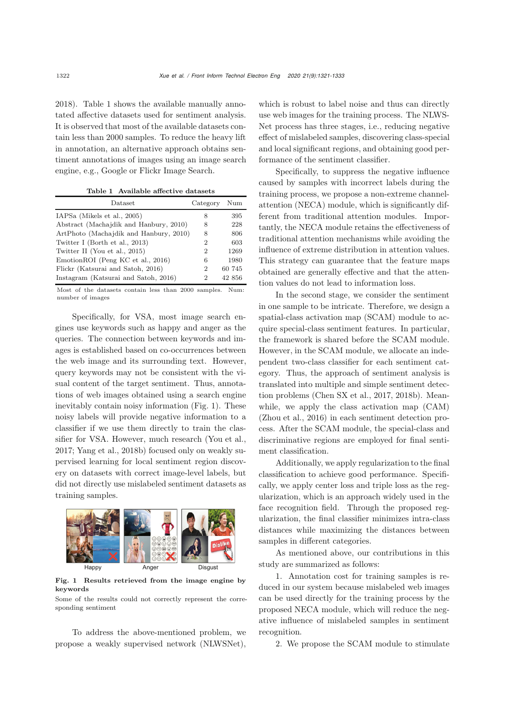[2018](#page-11-1)). Table [1](#page-1-0) shows the available manually annotated affective datasets used for sentiment analysis. It is observed that most of the available datasets contain less than 2000 samples. To reduce the heavy lift in annotation, an alternative approach obtains sentiment annotations of images using an image search engine, e.g., Google or Flickr Image Search.

<span id="page-1-0"></span>Table 1 Available affective datasets

| Dataset                                | Category | Num    |
|----------------------------------------|----------|--------|
| IAPSa (Mikels et al., 2005)            | 8        | 395    |
| Abstract (Machajdik and Hanbury, 2010) | 8        | 228    |
| ArtPhoto (Machajdik and Hanbury, 2010) | 8        | 806    |
| Twitter I (Borth et al., 2013)         | 2        | 603    |
| Twitter II (You et al., 2015)          | 2        | 1269   |
| EmotionROI (Peng KC et al., 2016)      | 6        | 1980   |
| Flickr (Katsurai and Satoh, 2016)      | 2        | 60 745 |
| Instagram (Katsurai and Satoh, 2016)   | 2        | 42 856 |

Most of the datasets contain less than 2000 samples. Num: number of images

Specifically, for VSA, most image search engines use keywords such as happy and anger as the queries. The connection between keywords and images is established based on co-occurrences between the web image and its surrounding text. However, query keywords may not be consistent with the visual content of the target sentiment. Thus, annotations of web images obtained using a search engine inevitably contain noisy information (Fig. [1\)](#page-1-1). These noisy labels will provide negative information to a classifier if we use them directly to train the classifier for VSA. However, much research [\(You et al.](#page-12-8), [2017](#page-12-8); [Yang et al., 2018b\)](#page-12-9) focused only on weakly supervised learning for local sentiment region discovery on datasets with correct image-level labels, but did not directly use mislabeled sentiment datasets as training samples.



<span id="page-1-1"></span>Fig. 1 Results retrieved from the image engine by keywords

Some of the results could not correctly represent the corresponding sentiment

To address the above-mentioned problem, we propose a weakly supervised network (NLWSNet), which is robust to label noise and thus can directly use web images for the training process. The NLWS-Net process has three stages, i.e., reducing negative effect of mislabeled samples, discovering class-special and local significant regions, and obtaining good performance of the sentiment classifier.

Specifically, to suppress the negative influence caused by samples with incorrect labels during the training process, we propose a non-extreme channelattention (NECA) module, which is significantly different from traditional attention modules. Importantly, the NECA module retains the effectiveness of traditional attention mechanisms while avoiding the influence of extreme distribution in attention values. This strategy can guarantee that the feature maps obtained are generally effective and that the attention values do not lead to information loss.

In the second stage, we consider the sentiment in one sample to be intricate. Therefore, we design a spatial-class activation map (SCAM) module to acquire special-class sentiment features. In particular, the framework is shared before the SCAM module. However, in the SCAM module, we allocate an independent two-class classifier for each sentiment category. Thus, the approach of sentiment analysis is translated into multiple and simple sentiment detection problems [\(Chen SX et al.](#page-10-2), [2017,](#page-10-2) [2018b\)](#page-11-6). Meanwhile, we apply the class activation map (CAM) [\(Zhou et al., 2016\)](#page-12-10) in each sentiment detection process. After the SCAM module, the special-class and discriminative regions are employed for final sentiment classification.

Additionally, we apply regularization to the final classification to achieve good performance. Specifically, we apply center loss and triple loss as the regularization, which is an approach widely used in the face recognition field. Through the proposed regularization, the final classifier minimizes intra-class distances while maximizing the distances between samples in different categories.

As mentioned above, our contributions in this study are summarized as follows:

1. Annotation cost for training samples is reduced in our system because mislabeled web images can be used directly for the training process by the proposed NECA module, which will reduce the negative influence of mislabeled samples in sentiment recognition.

2. We propose the SCAM module to stimulate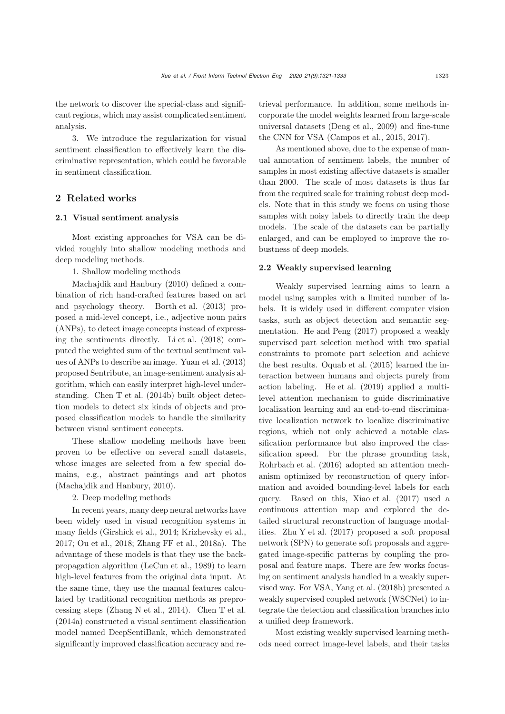the network to discover the special-class and significant regions, which may assist complicated sentiment analysis.

3. We introduce the regularization for visual sentiment classification to effectively learn the discriminative representation, which could be favorable in sentiment classification.

# 2 Related works

#### 2.1 Visual sentiment analysis

Most existing approaches for VSA can be divided roughly into shallow modeling methods and deep modeling methods.

1. Shallow modeling methods

[Machajdik and Hanbury](#page-11-3) [\(2010\)](#page-11-3) defined a combination of rich hand-crafted features based on art and psychology theory. [Borth et al.](#page-10-1) [\(2013\)](#page-10-1) proposed a mid-level concept, i.e., adjective noun pairs (ANPs), to detect image concepts instead of expressing the sentiments directly. [Li et al.](#page-11-7) [\(2018\)](#page-11-7) computed the weighted sum of the textual sentiment values of ANPs to describe an image. [Yuan et al.](#page-12-11) [\(2013](#page-12-11)) proposed Sentribute, an image-sentiment analysis algorithm, which can easily interpret high-level understanding. [Chen T et al.](#page-11-8) [\(2014b\)](#page-11-8) built object detection models to detect six kinds of objects and proposed classification models to handle the similarity between visual sentiment concepts.

These shallow modeling methods have been proven to be effective on several small datasets, whose images are selected from a few special domains, e.g., abstract paintings and art photos [\(Machajdik and Hanbury, 2010\)](#page-11-3).

2. Deep modeling methods

In recent years, many deep neural networks have been widely used in visual recognition systems in many fields [\(Girshick et al.](#page-11-9), [2014](#page-11-9); [Krizhevsky et al.](#page-11-10), [2017](#page-11-10); [Ou et al.](#page-11-11), [2018;](#page-11-11) [Zhang FF et al., 2018a\)](#page-12-12). The advantage of these models is that they use the backpropagation algorithm [\(LeCun et al.](#page-11-12), [1989\)](#page-11-12) to learn high-level features from the original data input. At the same time, they use the manual features calculated by traditional recognition methods as preprocessing steps [\(Zhang N et al., 2014\)](#page-12-13). [Chen T et al.](#page-11-13) [\(2014a\)](#page-11-13) constructed a visual sentiment classification model named DeepSentiBank, which demonstrated significantly improved classification accuracy and retrieval performance. In addition, some methods incorporate the model weights learned from large-scale universal datasets [\(Deng et al.](#page-11-14), [2009\)](#page-11-14) and fine-tune the CNN for VSA [\(Campos et al.](#page-10-3), [2015,](#page-10-3) [2017\)](#page-10-4).

As mentioned above, due to the expense of manual annotation of sentiment labels, the number of samples in most existing affective datasets is smaller than 2000. The scale of most datasets is thus far from the required scale for training robust deep models. Note that in this study we focus on using those samples with noisy labels to directly train the deep models. The scale of the datasets can be partially enlarged, and can be employed to improve the robustness of deep models.

#### 2.2 Weakly supervised learning

Weakly supervised learning aims to learn a model using samples with a limited number of labels. It is widely used in different computer vision tasks, such as object detection and semantic segmentation. [He and Peng](#page-11-15) [\(2017](#page-11-15)) proposed a weakly supervised part selection method with two spatial constraints to promote part selection and achieve the best results. [Oquab et al.](#page-11-16) [\(2015\)](#page-11-16) learned the interaction between humans and objects purely from action labeling. [He et al.](#page-11-17) [\(2019\)](#page-11-17) applied a multilevel attention mechanism to guide discriminative localization learning and an end-to-end discriminative localization network to localize discriminative regions, which not only achieved a notable classification performance but also improved the classification speed. For the phrase grounding task, [Rohrbach et al.](#page-11-18) [\(2016\)](#page-11-18) adopted an attention mechanism optimized by reconstruction of query information and avoided bounding-level labels for each query. Based on this, [Xiao et al.](#page-12-14) [\(2017\)](#page-12-14) used a continuous attention map and explored the detailed structural reconstruction of language modalities. [Zhu Y et al.](#page-12-15) [\(2017](#page-12-15)) proposed a soft proposal network (SPN) to generate soft proposals and aggregated image-specific patterns by coupling the proposal and feature maps. There are few works focusing on sentiment analysis handled in a weakly supervised way. For VSA, [Yang et al.](#page-12-9) [\(2018b\)](#page-12-9) presented a weakly supervised coupled network (WSCNet) to integrate the detection and classification branches into a unified deep framework.

Most existing weakly supervised learning methods need correct image-level labels, and their tasks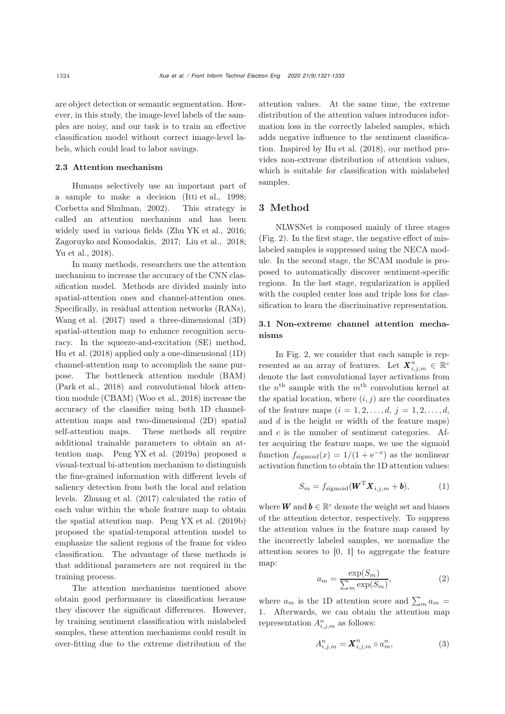are object detection or semantic segmentation. However, in this study, the image-level labels of the samples are noisy, and our task is to train an effective classification model without correct image-level labels, which could lead to labor savings.

# 2.3 Attention mechanism

Humans selectively use an important part of a sample to make a decision [\(Itti et al., 1998;](#page-11-19) [Corbetta and Shulman](#page-11-20), [2002\)](#page-11-20). This strategy is called an attention mechanism and has been widely used in various fields [\(Zhu YK et al.](#page-12-16), [2016;](#page-12-16) [Zagoruyko and Komodakis, 2017](#page-12-17); [Liu et al., 2018;](#page-11-21) [Yu et al.](#page-12-18), [2018\)](#page-12-18).

In many methods, researchers use the attention mechanism to increase the accuracy of the CNN classification model. Methods are divided mainly into spatial-attention ones and channel-attention ones. Specifically, in residual attention networks (RANs), [Wang et al.](#page-12-19) [\(2017\)](#page-12-19) used a three-dimensional (3D) spatial-attention map to enhance recognition accuracy. In the squeeze-and-excitation (SE) method, [Hu et al.](#page-11-22) [\(2018](#page-11-22)) applied only a one-dimensional (1D) channel-attention map to accomplish the same purpose. The bottleneck attention module (BAM) [\(Park et al., 2018\)](#page-11-23) and convolutional block attention module (CBAM) [\(Woo et al.](#page-12-20), [2018\)](#page-12-20) increase the accuracy of the classifier using both 1D channelattention maps and two-dimensional (2D) spatial self-attention maps. These methods all require additional trainable parameters to obtain an attention map. [Peng YX et al.](#page-11-24) [\(2019a\)](#page-11-24) proposed a visual-textual bi-attention mechanism to distinguish the fine-grained information with different levels of saliency detection from both the local and relation levels. [Zhuang et al.](#page-12-21) [\(2017\)](#page-12-21) calculated the ratio of each value within the whole feature map to obtain the spatial attention map. [Peng YX et al.](#page-11-25) [\(2019b](#page-11-25)) proposed the spatial-temporal attention model to emphasize the salient regions of the frame for video classification. The advantage of these methods is that additional parameters are not required in the training process.

The attention mechanisms mentioned above obtain good performance in classification because they discover the significant differences. However, by training sentiment classification with mislabeled samples, these attention mechanisms could result in over-fitting due to the extreme distribution of the attention values. At the same time, the extreme distribution of the attention values introduces information loss in the correctly labeled samples, which adds negative influence to the sentiment classification. Inspired by [Hu et al.](#page-11-22) [\(2018\)](#page-11-22), our method provides non-extreme distribution of attention values, which is suitable for classification with mislabeled samples.

### 3 Method

NLWSNet is composed mainly of three stages (Fig. [2\)](#page-4-0). In the first stage, the negative effect of mislabeled samples is suppressed using the NECA module. In the second stage, the SCAM module is proposed to automatically discover sentiment-specific regions. In the last stage, regularization is applied with the coupled center loss and triple loss for classification to learn the discriminative representation.

# 3.1 Non-extreme channel attention mechanisms

In Fig. [2,](#page-4-0) we consider that each sample is represented as an array of features. Let  $X_{i,j,m}^n \in \mathbb{R}^d$ denote the last convolutional layer activations from the  $n<sup>th</sup>$  sample with the  $m<sup>th</sup>$  convolution kernel at the spatial location, where  $(i, j)$  are the coordinates of the feature maps  $(i = 1, 2, ..., d, j = 1, 2, ..., d, j)$ and  $d$  is the height or width of the feature maps) and  $c$  is the number of sentiment categories. After acquiring the feature maps, we use the sigmoid function  $f_{\text{sigmoid}}(x) = 1/(1 + e^{-x})$  as the nonlinear activation function to obtain the 1D attention values:

$$
S_m = f_{\text{sigmoid}}(\boldsymbol{W}^{\text{T}} \boldsymbol{X}_{i,j,m} + \boldsymbol{b}), \qquad (1)
$$

where **W** and  $b \in \mathbb{R}^c$  denote the weight set and biases of the attention detector, respectively. To suppress the attention values in the feature map caused by the incorrectly labeled samples, we normalize the attention scores to [0, 1] to aggregate the feature map:

$$
a_m = \frac{\exp(S_m)}{\sum_m \exp(S_m)},
$$
\n(2)

where  $a_m$  is the 1D attention score and  $\sum_m a_m =$ <br>1. Afterwards, we see obtain the attention was 1. Afterwards, we can obtain the attention map representation  $A_{i,j,m}^n$  as follows:

$$
A_{i,j,m}^n = \mathbf{X}_{i,j,m}^n \circ a_m^n,\tag{3}
$$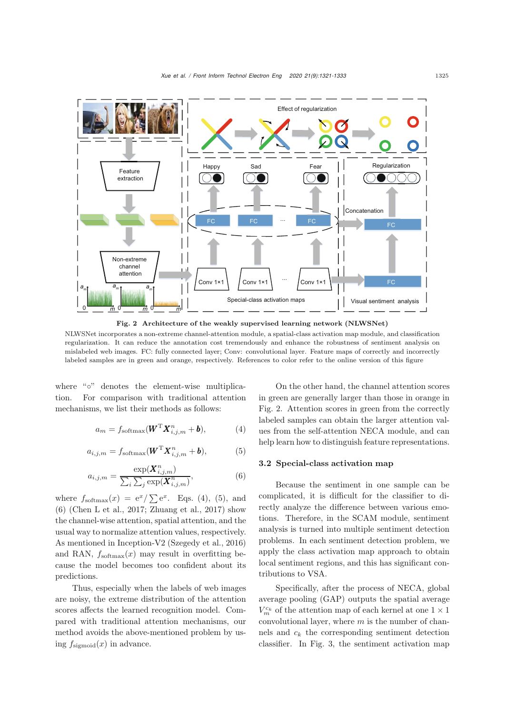

<span id="page-4-0"></span>NLWSNet incorporates a non-extreme channel-attention module, a spatial-class activation map module, and classification regularization. It can reduce the annotation cost tremendously and enhance the robustness of sentiment analysis on mislabeled web images. FC: fully connected layer; Conv: convolutional layer. Feature maps of correctly and incorrectly labeled samples are in green and orange, respectively. References to color refer to the online version of this figure

where "∘" denotes the element-wise multiplication. For comparison with traditional attention mechanisms, we list their methods as follows:

<span id="page-4-1"></span>
$$
a_m = f_{\text{softmax}}(\boldsymbol{W}^{\text{T}} \boldsymbol{X}_{i,j,m}^n + \boldsymbol{b}), \tag{4}
$$

<span id="page-4-2"></span>
$$
a_{i,j,m} = f_{\text{softmax}}(\boldsymbol{W}^{\text{T}} \boldsymbol{X}_{i,j,m}^{n} + \boldsymbol{b}), \qquad (5)
$$

<span id="page-4-3"></span>
$$
a_{i,j,m} = \frac{\exp(\boldsymbol{X}_{i,j,m}^n)}{\sum_i \sum_j \exp(\boldsymbol{X}_{i,j,m}^n)},
$$
(6)

where  $f_{\text{softmax}}(x) = e^x / \sum e^x$ . Eqs. [\(4\)](#page-4-1), [\(5\)](#page-4-2), and<br>(6) Chan Let al. 2017; Zhuang et al. 2017) about [\(6\)](#page-4-3) (Chen L et al., 2017; Zhuang et al., 2017) show the channel-wise attention, spatial attention, and the usual way to normalize attention values, respectively. As mentioned in Inception-V2 [\(Szegedy et al., 2016\)](#page-12-22) and RAN,  $f_{\text{softmax}}(x)$  may result in overfitting because the model becomes too confident about its predictions.

Thus, especially when the labels of web images are noisy, the extreme distribution of the attention scores affects the learned recognition model. Compared with traditional attention mechanisms, our method avoids the above-mentioned problem by using  $f_{\text{sigmoid}}(x)$  in advance.

On the other hand, the channel attention scores in green are generally larger than those in orange in Fig. [2.](#page-4-0) Attention scores in green from the correctly labeled samples can obtain the larger attention values from the self-attention NECA module, and can help learn how to distinguish feature representations.

# 3.2 Special-class activation map

Because the sentiment in one sample can be complicated, it is difficult for the classifier to directly analyze the difference between various emotions. Therefore, in the SCAM module, sentiment analysis is turned into multiple sentiment detection problems. In each sentiment detection problem, we apply the class activation map approach to obtain local sentiment regions, and this has significant contributions to VSA.

Specifically, after the process of NECA, global average pooling (GAP) outputs the spatial average  $V_m^{c_k}$  of the attention map of each kernel at one  $1 \times 1$ convolutional layer, where  $m$  is the number of channels and  $c_k$  the corresponding sentiment detection classifier. In Fig. [3,](#page-5-0) the sentiment activation map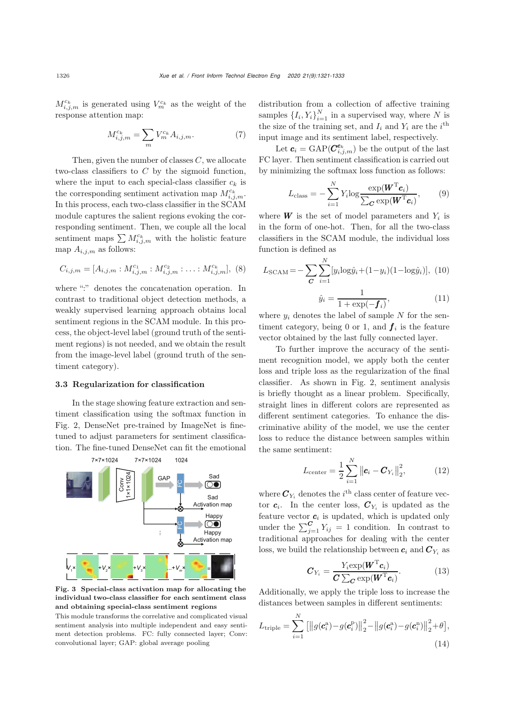$M_{i,j,m}^{c_k}$  is generated using  $V_m^{c_k}$  as the weight of the response attention map:

$$
M_{i,j,m}^{c_k} = \sum_m V_m^{c_k} A_{i,j,m}.
$$
 (7)

Then, given the number of classes  $C$ , we allocate two-class classifiers to  $C$  by the sigmoid function, where the input to each special-class classifier  $c_k$  is the corresponding sentiment activation map  $M_{i,j,m}^{c_k}$ . In this process, each two-class classifier in the SCAM module captures the salient regions evoking the corresponding sentiment. Then, we couple all the local sentiment maps  $\sum M_{i,j,m}^{c_k}$  with the holistic feature map  $A_{i,j,m}$  as follows:

$$
C_{i,j,m} = [A_{i,j,m} : M_{i,j,m}^{c_1} : M_{i,j,m}^{c_2} : \dots : M_{i,j,m}^{c_k}], (8)
$$

where ":" denotes the concatenation operation. In contrast to traditional object detection methods, a weakly supervised learning approach obtains local sentiment regions in the SCAM module. In this process, the object-level label (ground truth of the sentiment regions) is not needed, and we obtain the result from the image-level label (ground truth of the sentiment category).

#### 3.3 Regularization for classification

In the stage showing feature extraction and sentiment classification using the softmax function in Fig. [2,](#page-4-0) DenseNet pre-trained by ImageNet is finetuned to adjust parameters for sentiment classification. The fine-tuned DenseNet can fit the emotional



<span id="page-5-0"></span>Fig. 3 Special-class activation map for allocating the individual two-class classifier for each sentiment class and obtaining special-class sentiment regions

This module transforms the correlative and complicated visual sentiment analysis into multiple independent and easy sentiment detection problems. FC: fully connected layer; Conv: convolutional layer; GAP: global average pooling

distribution from a collection of affective training samples  $\{I_i, Y_i\}_{i=1}^N$  in a supervised way, where N is the size of the training set, and  $I_i$  and  $Y_i$  are the i<sup>th</sup> input image and its sentiment label, respectively.

Let  $c_i = \text{GAP}(\mathbf{C}^{c_k}_{i,j,m})$  be the output of the last FC layer. Then sentiment classification is carried out by minimizing the softmax loss function as follows:

$$
L_{\text{class}} = -\sum_{i=1}^{N} Y_i \log \frac{\exp(\boldsymbol{W}^{\text{T}} \boldsymbol{c}_i)}{\sum_{\boldsymbol{C}} \exp(\boldsymbol{W}^{\text{T}} \boldsymbol{c}_i)},
$$
(9)

where  $W$  is the set of model parameters and  $Y_i$  is in the form of one-hot. Then, for all the two-class classifiers in the SCAM module, the individual loss function is defined as

$$
L_{\text{SCAM}} = -\sum_{\mathbf{C}} \sum_{i=1}^{N} [y_i \log \hat{y}_i + (1 - y_i)(1 - \log \hat{y}_i)], \ (10)
$$

$$
\hat{y}_i = \frac{1}{1 + \exp(-f_i)},\tag{11}
$$

 $\frac{y_i}{1 + \exp(-f_i)}$ <br>where  $y_i$  denotes the label of sample N for the sentiment category, being 0 or 1, and  $f_i$  is the feature vector obtained by the last fully connected layer.

To further improve the accuracy of the sentiment recognition model, we apply both the center loss and triple loss as the regularization of the final classifier. As shown in Fig. [2,](#page-4-0) sentiment analysis is briefly thought as a linear problem. Specifically, straight lines in different colors are represented as different sentiment categories. To enhance the discriminative ability of the model, we use the center loss to reduce the distance between samples within the same sentiment:

$$
L_{\text{center}} = \frac{1}{2} \sum_{i=1}^{N} ||\boldsymbol{c}_i - \boldsymbol{C}_{Y_i}||_2^2, \qquad (12)
$$

where  $\mathbf{C}_{Y_i}$  denotes the *i*<sup>th</sup> class center of feature vector  $c_i$ . In the center loss,  $C_{Y_i}$  is updated as the feature vector  $c_i$  is updated, which is updated only under the  $\sum_{j=1}^{C} Y_{ij} = 1$  condition. In contrast to the distance of  $\sum_{j=1}^{C} Y_{ij} = 1$  conditions with the contrast traditional approaches for dealing with the center loss, we build the relationship between  $c_i$  and  $C_{Y_i}$  as

$$
\boldsymbol{C}_{Y_i} = \frac{Y_i \exp(\boldsymbol{W}^{\mathrm{T}} \boldsymbol{c}_i)}{\boldsymbol{C} \sum_{\boldsymbol{C}} \exp(\boldsymbol{W}^{\mathrm{T}} \boldsymbol{c}_i)}.
$$
(13)

Additionally, we apply the triple loss to increase the distances between samples in different sentiments:

$$
L_{\text{triple}} = \sum_{i=1}^{N} \left[ \left\| g(c_i^{\mathbf{a}}) - g(c_i^{\mathbf{p}}) \right\|_2^2 - \left\| g(c_i^{\mathbf{a}}) - g(c_i^{\mathbf{a}}) \right\|_2^2 + \theta \right],\tag{14}
$$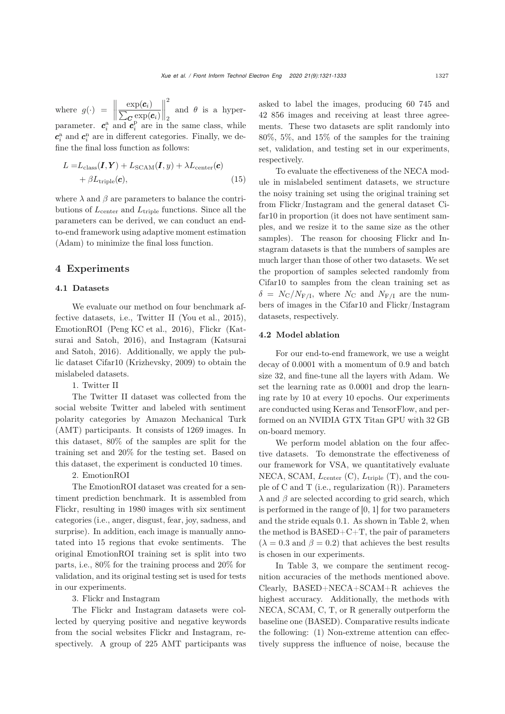where  $g(\cdot) = \|\cdot\|$  $\frac{\exp(\bm{c}_i)}{\sum_{\bm{C}} \exp(\bm{c}_i)}$  $\begin{array}{c} \hline \end{array}$ 2 2 and  $\theta$  is a hyperparameter.  $c_i^{\text{a}}$  and  $c_i^{\text{p}}$  are in the same class, while  $\mathbf{c}_i^{\text{a}}$  and  $\mathbf{c}_i^{\text{n}}$  are in different categories. Finally, we define the final loss function as follows:

$$
L = L_{\text{class}}(\boldsymbol{I}, \boldsymbol{Y}) + L_{\text{SCAM}}(\boldsymbol{I}, y) + \lambda L_{\text{center}}(\boldsymbol{c}) + \beta L_{\text{triple}}(\boldsymbol{c}),
$$
\n(15)

where  $\lambda$  and  $\beta$  are parameters to balance the contributions of  $L_{\text{center}}$  and  $L_{\text{triple}}$  functions. Since all the parameters can be derived, we can conduct an endto-end framework using adaptive moment estimation (Adam) to minimize the final loss function.

## 4 Experiments

#### 4.1 Datasets

We evaluate our method on four benchmark affective datasets, i.e., Twitter II [\(You et al.](#page-12-7), [2015\)](#page-12-7), EmotionROI [\(Peng KC et al.](#page-11-4), [2016\)](#page-11-4), Flickr (Katsurai and Satoh, 2016), and Instagram (Katsurai and Satoh, 2016). Additionally, we apply the public dataset Cifar10 [\(Krizhevsky, 2009\)](#page-11-26) to obtain the mislabeled datasets.

1. Twitter II

The Twitter II dataset was collected from the social website Twitter and labeled with sentiment polarity categories by Amazon Mechanical Turk (AMT) participants. It consists of 1269 images. In this dataset, 80% of the samples are split for the training set and 20% for the testing set. Based on this dataset, the experiment is conducted 10 times.

2. EmotionROI

The EmotionROI dataset was created for a sentiment prediction benchmark. It is assembled from Flickr, resulting in 1980 images with six sentiment categories (i.e., anger, disgust, fear, joy, sadness, and surprise). In addition, each image is manually annotated into 15 regions that evoke sentiments. The original EmotionROI training set is split into two parts, i.e., 80% for the training process and 20% for validation, and its original testing set is used for tests in our experiments.

## 3. Flickr and Instagram

The Flickr and Instagram datasets were collected by querying positive and negative keywords from the social websites Flickr and Instagram, respectively. A group of 225 AMT participants was asked to label the images, producing 60 745 and 42 856 images and receiving at least three agreements. These two datasets are split randomly into 80%, 5%, and 15% of the samples for the training set, validation, and testing set in our experiments, respectively.

To evaluate the effectiveness of the NECA module in mislabeled sentiment datasets, we structure the noisy training set using the original training set from Flickr/Instagram and the general dataset Cifar10 in proportion (it does not have sentiment samples, and we resize it to the same size as the other samples). The reason for choosing Flickr and Instagram datasets is that the numbers of samples are much larger than those of other two datasets. We set the proportion of samples selected randomly from Cifar10 to samples from the clean training set as  $\delta = N_{\rm C}/N_{\rm F/I}$ , where  $N_{\rm C}$  and  $N_{\rm F/I}$  are the numbers of images in the Cifar10 and Flickr/Instagram datasets, respectively.

#### 4.2 Model ablation

For our end-to-end framework, we use a weight decay of 0.0001 with a momentum of 0.9 and batch size 32, and fine-tune all the layers with Adam. We set the learning rate as 0.0001 and drop the learning rate by 10 at every 10 epochs. Our experiments are conducted using Keras and TensorFlow, and performed on an NVIDIA GTX Titan GPU with 32 GB on-board memory.

We perform model ablation on the four affective datasets. To demonstrate the effectiveness of our framework for VSA, we quantitatively evaluate NECA, SCAM,  $L_{\text{center}}$  (C),  $L_{\text{triple}}$  (T), and the couple of C and T (i.e., regularization  $(R)$ ). Parameters  $\lambda$  and  $\beta$  are selected according to grid search, which is performed in the range of [0, 1] for two parameters and the stride equals 0.1. As shown in Table [2,](#page-7-0) when the method is  $BASED+C+T$ , the pair of parameters  $(\lambda = 0.3$  and  $\beta = 0.2)$  that achieves the best results is chosen in our experiments.

In Table [3,](#page-7-1) we compare the sentiment recognition accuracies of the methods mentioned above. Clearly, BASED+NECA+SCAM+R achieves the highest accuracy. Additionally, the methods with NECA, SCAM, C, T, or R generally outperform the baseline one (BASED). Comparative results indicate the following: (1) Non-extreme attention can effectively suppress the influence of noise, because the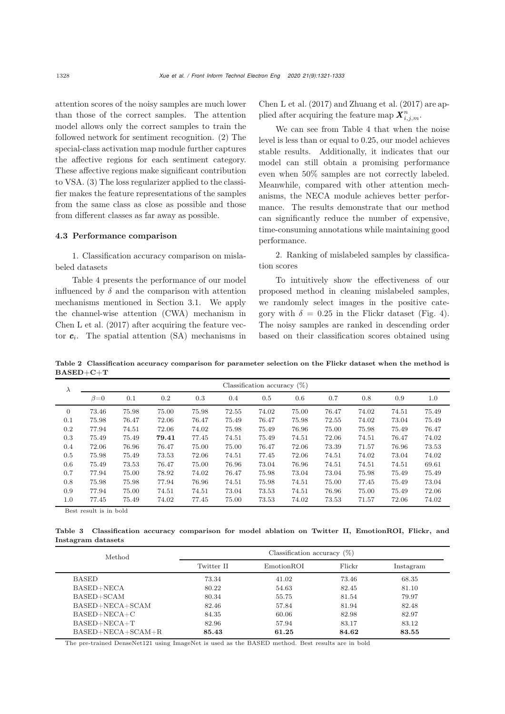attention scores of the noisy samples are much lower than those of the correct samples. The attention model allows only the correct samples to train the followed network for sentiment recognition. (2) The special-class activation map module further captures the affective regions for each sentiment category. These affective regions make significant contribution to VSA. (3) The loss regularizer applied to the classifier makes the feature representations of the samples from the same class as close as possible and those from different classes as far away as possible.

## 4.3 Performance comparison

1. Classification accuracy comparison on mislabeled datasets

Table [4](#page-8-0) presents the performance of our model influenced by  $\delta$  and the comparison with attention mechanisms mentioned in Section 3.1. We apply the channel-wise attention (CWA) mechanism in [Chen L et al.](#page-10-5) [\(2017\)](#page-10-5) after acquiring the feature vector  $c_i$ . The spatial attention (SA) mechanisms in [Chen L et al.](#page-10-5) [\(2017\)](#page-10-5) and [Zhuang et al.](#page-12-21) [\(2017\)](#page-12-21) are applied after acquiring the feature map  $\boldsymbol{X}^n_{i,j,m}$ .

We can see from Table [4](#page-8-0) that when the noise level is less than or equal to 0.25, our model achieves stable results. Additionally, it indicates that our model can still obtain a promising performance even when 50% samples are not correctly labeled. Meanwhile, compared with other attention mechanisms, the NECA module achieves better performance. The results demonstrate that our method can significantly reduce the number of expensive, time-consuming annotations while maintaining good performance.

2. Ranking of mislabeled samples by classification scores

To intuitively show the effectiveness of our proposed method in cleaning mislabeled samples, we randomly select images in the positive category with  $\delta = 0.25$  in the Flickr dataset (Fig. [4\)](#page-8-1). The noisy samples are ranked in descending order based on their classification scores obtained using

<span id="page-7-0"></span>Table 2 Classification accuracy comparison for parameter selection on the Flickr dataset when the method is BASED+C+T

| $\lambda$      | Classification accuracy $(\%)$ |       |       |       |         |       |       |       |       |       |       |
|----------------|--------------------------------|-------|-------|-------|---------|-------|-------|-------|-------|-------|-------|
|                | $\beta = 0$                    | 0.1   | 0.2   | 0.3   | $0.4\,$ | 0.5   | 0.6   | 0.7   | 0.8   | 0.9   | 1.0   |
| $\overline{0}$ | 73.46                          | 75.98 | 75.00 | 75.98 | 72.55   | 74.02 | 75.00 | 76.47 | 74.02 | 74.51 | 75.49 |
| 0.1            | 75.98                          | 76.47 | 72.06 | 76.47 | 75.49   | 76.47 | 75.98 | 72.55 | 74.02 | 73.04 | 75.49 |
| 0.2            | 77.94                          | 74.51 | 72.06 | 74.02 | 75.98   | 75.49 | 76.96 | 75.00 | 75.98 | 75.49 | 76.47 |
| 0.3            | 75.49                          | 75.49 | 79.41 | 77.45 | 74.51   | 75.49 | 74.51 | 72.06 | 74.51 | 76.47 | 74.02 |
| 0.4            | 72.06                          | 76.96 | 76.47 | 75.00 | 75.00   | 76.47 | 72.06 | 73.39 | 71.57 | 76.96 | 73.53 |
| 0.5            | 75.98                          | 75.49 | 73.53 | 72.06 | 74.51   | 77.45 | 72.06 | 74.51 | 74.02 | 73.04 | 74.02 |
| 0.6            | 75.49                          | 73.53 | 76.47 | 75.00 | 76.96   | 73.04 | 76.96 | 74.51 | 74.51 | 74.51 | 69.61 |
| 0.7            | 77.94                          | 75.00 | 78.92 | 74.02 | 76.47   | 75.98 | 73.04 | 73.04 | 75.98 | 75.49 | 75.49 |
| 0.8            | 75.98                          | 75.98 | 77.94 | 76.96 | 74.51   | 75.98 | 74.51 | 75.00 | 77.45 | 75.49 | 73.04 |
| 0.9            | 77.94                          | 75.00 | 74.51 | 74.51 | 73.04   | 73.53 | 74.51 | 76.96 | 75.00 | 75.49 | 72.06 |
| 1.0            | 77.45                          | 75.49 | 74.02 | 77.45 | 75.00   | 73.53 | 74.02 | 73.53 | 71.57 | 72.06 | 74.02 |

Best result is in bold

<span id="page-7-1"></span>Table 3 Classification accuracy comparison for model ablation on Twitter II, EmotionROI, Flickr, and Instagram datasets

| Method              | Classification accuracy $(\%)$ |            |        |           |  |  |  |
|---------------------|--------------------------------|------------|--------|-----------|--|--|--|
|                     | Twitter II                     | EmotionROI | Flickr | Instagram |  |  |  |
| <b>BASED</b>        | 73.34                          | 41.02      | 73.46  | 68.35     |  |  |  |
| BASED+NECA          | 80.22                          | 54.63      | 82.45  | 81.10     |  |  |  |
| $BASED+SCAM$        | 80.34                          | 55.75      | 81.54  | 79.97     |  |  |  |
| $BASED+NECA+SCAM$   | 82.46                          | 57.84      | 81.94  | 82.48     |  |  |  |
| $BASED+NECA+C$      | 84.35                          | 60.06      | 82.98  | 82.97     |  |  |  |
| $BASED+NECA+T$      | 82.96                          | 57.94      | 83.17  | 83.12     |  |  |  |
| $BASED+NECA+SCAM+R$ | 85.43                          | 61.25      | 84.62  | 83.55     |  |  |  |

The pre-trained DenseNet121 using ImageNet is used as the BASED method. Best results are in bold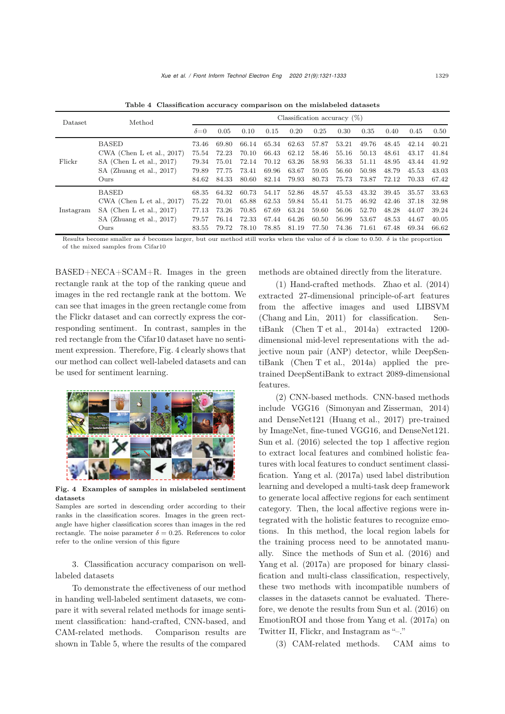<span id="page-8-0"></span>Table 4 Classification accuracy comparison on the mislabeled datasets

| Dataset   | Method                       | Classification accuracy $(\%)$ |       |       |       |       |       |       |       |       |       |       |
|-----------|------------------------------|--------------------------------|-------|-------|-------|-------|-------|-------|-------|-------|-------|-------|
|           |                              | $\delta = 0$                   | 0.05  | 0.10  | 0.15  | 0.20  | 0.25  | 0.30  | 0.35  | 0.40  | 0.45  | 0.50  |
| Flickr    | <b>BASED</b>                 | 73.46                          | 69.80 | 66.14 | 65.34 | 62.63 | 57.87 | 53.21 | 49.76 | 48.45 | 42.14 | 40.21 |
|           | CWA (Chen L et al., $2017$ ) | 75.54                          | 72.23 | 70.10 | 66.43 | 62.12 | 58.46 | 55.16 | 50.13 | 48.61 | 43.17 | 41.84 |
|           | $SA$ (Chen L et al., 2017)   | 79.34                          | 75.01 | 72.14 | 70.12 | 63.26 | 58.93 | 56.33 | 51.11 | 48.95 | 43.44 | 41.92 |
|           | SA (Zhuang et al., 2017)     | 79.89                          | 77.75 | 73.41 | 69.96 | 63.67 | 59.05 | 56.60 | 50.98 | 48.79 | 45.53 | 43.03 |
|           | Ours                         | 84.62                          | 84.33 | 80.60 | 82.14 | 79.93 | 80.73 | 75.73 | 73.87 | 72.12 | 70.33 | 67.42 |
| Instagram | <b>BASED</b>                 | 68.35                          | 64.32 | 60.73 | 54.17 | 52.86 | 48.57 | 45.53 | 43.32 | 39.45 | 35.57 | 33.63 |
|           | CWA (Chen L et al., $2017$ ) | 75.22                          | 70.01 | 65.88 | 62.53 | 59.84 | 55.41 | 51.75 | 46.92 | 42.46 | 37.18 | 32.98 |
|           | SA (Chen L et al., $2017$ )  | 77.13                          | 73.26 | 70.85 | 67.69 | 63.24 | 59.60 | 56.06 | 52.70 | 48.28 | 44.07 | 39.24 |
|           | SA (Zhuang et al., 2017)     | 79.57                          | 76.14 | 72.33 | 67.44 | 64.26 | 60.50 | 56.99 | 53.67 | 48.53 | 44.67 | 40.05 |
|           | Ours                         | 83.55                          | 79.72 | 78.10 | 78.85 | 81.19 | 77.50 | 74.36 | 71.61 | 67.48 | 69.34 | 66.62 |

Results become smaller as  $\delta$  becomes larger, but our method still works when the value of  $\delta$  is close to 0.50.  $\delta$  is the proportion of the mixed samples from Cifar10

BASED+NECA+SCAM+R. Images in the green rectangle rank at the top of the ranking queue and images in the red rectangle rank at the bottom. We can see that images in the green rectangle come from the Flickr dataset and can correctly express the corresponding sentiment. In contrast, samples in the red rectangle from the Cifar10 dataset have no sentiment expression. Therefore, Fig. [4](#page-8-1) clearly shows that our method can collect well-labeled datasets and can be used for sentiment learning.



Fig. 4 Examples of samples in mislabeled sentiment datasets

<span id="page-8-1"></span>Samples are sorted in descending order according to their ranks in the classification scores. Images in the green rectangle have higher classification scores than images in the red rectangle. The noise parameter  $\delta = 0.25$ . References to color refer to the online version of this figure

3. Classification accuracy comparison on welllabeled datasets

To demonstrate the effectiveness of our method in handing well-labeled sentiment datasets, we compare it with several related methods for image sentiment classification: hand-crafted, CNN-based, and CAM-related methods. Comparison results are shown in Table [5,](#page-9-0) where the results of the compared

methods are obtained directly from the literature.

(1) Hand-crafted methods. [Zhao et al.](#page-12-23) [\(2014](#page-12-23)) extracted 27-dimensional principle-of-art features from the affective images and used LIBSVM [\(Chang and Lin, 2011](#page-10-6)) for classification. SentiBank [\(Chen T et al., 2014a](#page-11-13)) extracted 1200 dimensional mid-level representations with the adjective noun pair (ANP) detector, while DeepSentiBank [\(Chen T et al.](#page-11-13), [2014a\)](#page-11-13) applied the pretrained DeepSentiBank to extract 2089-dimensional features.

(2) CNN-based methods. CNN-based methods include VGG16 [\(Simonyan and Zisserman](#page-12-24), [2014](#page-12-24)) and DenseNet121 [\(Huang et al.](#page-11-27), [2017\)](#page-11-27) pre-trained by ImageNet, fine-tuned VGG16, and DenseNet121. [Sun et al.](#page-12-25) [\(2016\)](#page-12-25) selected the top 1 affective region to extract local features and combined holistic features with local features to conduct sentiment classification. [Yang et al.](#page-12-26) [\(2017a\)](#page-12-26) used label distribution learning and developed a multi-task deep framework to generate local affective regions for each sentiment category. Then, the local affective regions were integrated with the holistic features to recognize emotions. In this method, the local region labels for the training process need to be annotated manually. Since the methods of [Sun et al.](#page-12-25) [\(2016](#page-12-25)) and [Yang et al.](#page-12-26) [\(2017a\)](#page-12-26) are proposed for binary classification and multi-class classification, respectively, these two methods with incompatible numbers of classes in the datasets cannot be evaluated. Therefore, we denote the results from [Sun et al.](#page-12-25) [\(2016\)](#page-12-25) on EmotionROI and those from [Yang et al.](#page-12-26) [\(2017a\)](#page-12-26) on Twitter II, Flickr, and Instagram as "–."

(3) CAM-related methods. CAM aims to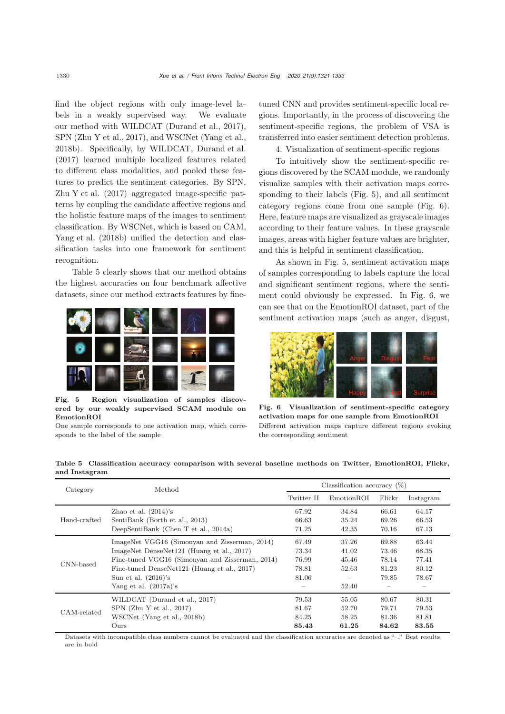find the object regions with only image-level labels in a weakly supervised way. We evaluate our method with WILDCAT [\(Durand et al.](#page-11-28), [2017\)](#page-11-28), SPN [\(Zhu Y et al.](#page-12-15), [2017](#page-12-15)), and WSCNet [\(Yang et al.](#page-12-9), [2018b\)](#page-12-9). Specifically, by WILDCAT, [Durand et al.](#page-11-28) [\(2017\)](#page-11-28) learned multiple localized features related to different class modalities, and pooled these features to predict the sentiment categories. By SPN, [Zhu Y et al.](#page-12-15) [\(2017](#page-12-15)) aggregated image-specific patterns by coupling the candidate affective regions and the holistic feature maps of the images to sentiment classification. By WSCNet, which is based on CAM, [Yang et al.](#page-12-9) [\(2018b\)](#page-12-9) unified the detection and classification tasks into one framework for sentiment recognition.

Table [5](#page-9-0) clearly shows that our method obtains the highest accuracies on four benchmark affective datasets, since our method extracts features by fine-



Fig. 5 Region visualization of samples discovered by our weakly supervised SCAM module on EmotionROI

<span id="page-9-1"></span>One sample corresponds to one activation map, which corresponds to the label of the sample

CAM-related

tuned CNN and provides sentiment-specific local regions. Importantly, in the process of discovering the sentiment-specific regions, the problem of VSA is transferred into easier sentiment detection problems.

4. Visualization of sentiment-specific regions

To intuitively show the sentiment-specific regions discovered by the SCAM module, we randomly visualize samples with their activation maps corresponding to their labels (Fig. [5\)](#page-9-1), and all sentiment category regions come from one sample (Fig. [6\)](#page-9-2). Here, feature maps are visualized as grayscale images according to their feature values. In these grayscale images, areas with higher feature values are brighter, and this is helpful in sentiment classification.

As shown in Fig. [5,](#page-9-1) sentiment activation maps of samples corresponding to labels capture the local and significant sentiment regions, where the sentiment could obviously be expressed. In Fig. [6,](#page-9-2) we can see that on the EmotionROI dataset, part of the sentiment activation maps (such as anger, disgust,

<span id="page-9-2"></span>

Fig. 6 Visualization of sentiment-specific category activation maps for one sample from EmotionROI Different activation maps capture different regions evoking the corresponding sentiment

| Category     | Method                                          | Classification accuracy $(\%)$ |            |        |           |  |  |  |
|--------------|-------------------------------------------------|--------------------------------|------------|--------|-----------|--|--|--|
|              |                                                 | Twitter II                     | EmotionROI | Flickr | Instagram |  |  |  |
|              | Zhao et al. $(2014)$ 's                         | 67.92                          | 34.84      | 66.61  | 64.17     |  |  |  |
| Hand-crafted | SentiBank (Borth et al., 2013)                  | 66.63                          | 35.24      | 69.26  | 66.53     |  |  |  |
|              | DeepSentiBank (Chen T et al., 2014a)            | 71.25                          | 42.35      | 70.16  | 67.13     |  |  |  |
| CNN-based    | ImageNet VGG16 (Simonyan and Zisserman, 2014)   | 67.49                          | 37.26      | 69.88  | 63.44     |  |  |  |
|              | ImageNet DenseNet121 (Huang et al., 2017)       | 73.34                          | 41.02      | 73.46  | 68.35     |  |  |  |
|              | Fine-tuned VGG16 (Simonyan and Zisserman, 2014) | 76.99                          | 45.46      | 78.14  | 77.41     |  |  |  |
|              | Fine-tuned DenseNet121 (Huang et al., 2017)     | 78.81                          | 52.63      | 81.23  | 80.12     |  |  |  |
|              | Sun et al. $(2016)$ 's                          | 81.06                          |            | 79.85  | 78.67     |  |  |  |
|              | Yang et al. $(2017a)$ 's                        |                                | 52.40      |        |           |  |  |  |

<span id="page-9-0"></span>Table 5 Classification accuracy comparison with several baseline methods on Twitter, EmotionROI, Flickr, and Instagram

Datasets with incompatible class numbers cannot be evaluated and the classification accuracies are denoted as "–." Best results are in bold

WILDCAT [\(Durand](#page-11-28) [et](#page-11-28) [al.](#page-11-28), [2017](#page-11-28)) 79.53 55.05 80.67 80.31 SPN [\(Zhu](#page-12-15) [Y](#page-12-15) [et](#page-12-15) [al.](#page-12-15), [2017](#page-12-15)) 81.67 52.70 79.71 79.53 WSCNet [\(Yang](#page-12-9) [et](#page-12-9) [al.,](#page-12-9) [2018b](#page-12-9)) 84.25 58.25 81.36 81.81 Ours 85.43 61.25 84.62 83.55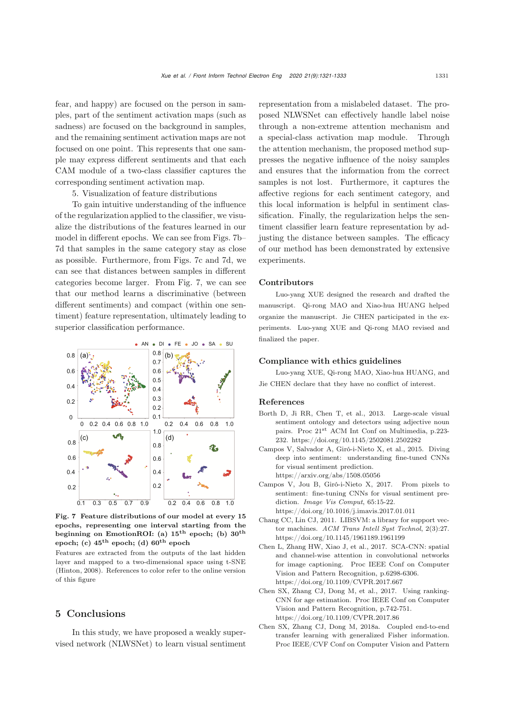fear, and happy) are focused on the person in samples, part of the sentiment activation maps (such as sadness) are focused on the background in samples, and the remaining sentiment activation maps are not focused on one point. This represents that one sample may express different sentiments and that each CAM module of a two-class classifier captures the corresponding sentiment activation map.

5. Visualization of feature distributions

To gain intuitive understanding of the influence of the regularization applied to the classifier, we visualize the distributions of the features learned in our model in different epochs. We can see from Figs. [7b](#page-10-7)– [7d](#page-10-7) that samples in the same category stay as close as possible. Furthermore, from Figs. [7c](#page-10-7) and [7d](#page-10-7), we can see that distances between samples in different categories become larger. From Fig. [7,](#page-10-7) we can see that our method learns a discriminative (between different sentiments) and compact (within one sentiment) feature representation, ultimately leading to superior classification performance.



<span id="page-10-7"></span>Fig. 7 Feature distributions of our model at every 15 epochs, representing one interval starting from the beginning on EmotionROI: (a) **15th** epoch; (b) **30th** epoch; (c) **45th** epoch; (d) **60th** epoch

Features are extracted from the outputs of the last hidden layer and mapped to a two-dimensional space using t-SNE [\(Hinton](#page-11-29), [2008\)](#page-11-29). References to color refer to the online version of this figure

### 5 Conclusions

In this study, we have proposed a weakly supervised network (NLWSNet) to learn visual sentiment representation from a mislabeled dataset. The proposed NLWSNet can effectively handle label noise through a non-extreme attention mechanism and a special-class activation map module. Through the attention mechanism, the proposed method suppresses the negative influence of the noisy samples and ensures that the information from the correct samples is not lost. Furthermore, it captures the affective regions for each sentiment category, and this local information is helpful in sentiment classification. Finally, the regularization helps the sentiment classifier learn feature representation by adjusting the distance between samples. The efficacy of our method has been demonstrated by extensive experiments.

#### Contributors

Luo-yang XUE designed the research and drafted the manuscript. Qi-rong MAO and Xiao-hua HUANG helped organize the manuscript. Jie CHEN participated in the experiments. Luo-yang XUE and Qi-rong MAO revised and finalized the paper.

#### Compliance with ethics guidelines

Luo-yang XUE, Qi-rong MAO, Xiao-hua HUANG, and Jie CHEN declare that they have no conflict of interest.

## References

- <span id="page-10-1"></span>Borth D, Ji RR, Chen T, et al., 2013. Large-scale visual sentiment ontology and detectors using adjective noun pairs. Proc 21st ACM Int Conf on Multimedia, p.223- 232. https://doi.org/10.1145/2502081.2502282
- <span id="page-10-3"></span>Campos V, Salvador A, Giró-i-Nieto X, et al., 2015. Diving deep into sentiment: understanding fine-tuned CNNs for visual sentiment prediction. https://arxiv.org/abs/1508.05056
- <span id="page-10-4"></span>Campos V, Jou B, Giró-i-Nieto X, 2017. From pixels to sentiment: fine-tuning CNNs for visual sentiment prediction. *Image Vis Comput*, 65:15-22. https://doi.org/10.1016/j.imavis.2017.01.011
- <span id="page-10-6"></span>Chang CC, Lin CJ, 2011. LIBSVM: a library for support vector machines. *ACM Trans Intell Syst Technol*, 2(3):27. https://doi.org/10.1145/1961189.1961199
- <span id="page-10-5"></span>Chen L, Zhang HW, Xiao J, et al., 2017. SCA-CNN: spatial and channel-wise attention in convolutional networks for image captioning. Proc IEEE Conf on Computer Vision and Pattern Recognition, p.6298-6306. https://doi.org/10.1109/CVPR.2017.667
- <span id="page-10-2"></span>Chen SX, Zhang CJ, Dong M, et al., 2017. Using ranking-CNN for age estimation. Proc IEEE Conf on Computer Vision and Pattern Recognition, p.742-751. https://doi.org/10.1109/CVPR.2017.86
- <span id="page-10-0"></span>Chen SX, Zhang CJ, Dong M, 2018a. Coupled end-to-end transfer learning with generalized Fisher information. Proc IEEE/CVF Conf on Computer Vision and Pattern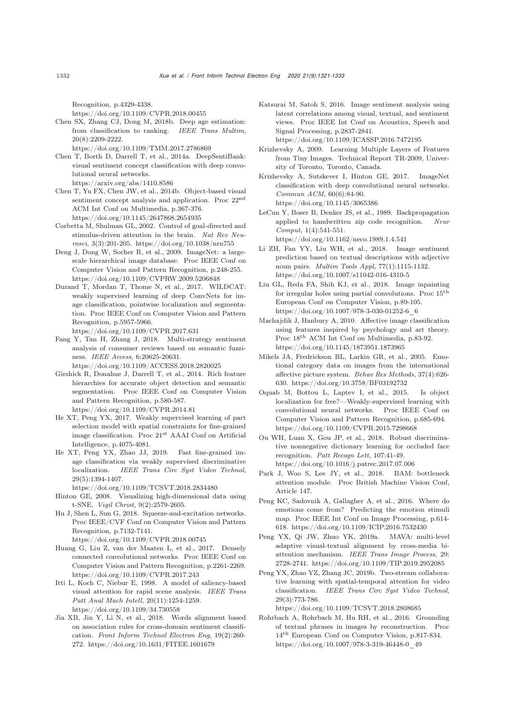Recognition, p.4329-4338.

https://doi.org/10.1109/CVPR.2018.00455

<span id="page-11-6"></span>Chen SX, Zhang CJ, Dong M, 2018b. Deep age estimation: from classification to ranking. *IEEE Trans Multim*, 20(8):2209-2222.

https://doi.org/10.1109/TMM.2017.2786869

- <span id="page-11-13"></span>Chen T, Borth D, Darrell T, et al., 2014a. DeepSentiBank: visual sentiment concept classification with deep convolutional neural networks. https://arxiv.org/abs/1410.8586
- <span id="page-11-8"></span>Chen T, Yu FX, Chen JW, et al., 2014b. Object-based visual sentiment concept analysis and application. Proc 22nd ACM Int Conf on Multimedia, p.367-376. https://doi.org/10.1145/2647868.2654935
- <span id="page-11-20"></span>Corbetta M, Shulman GL, 2002. Control of goal-directed and stimulus-driven attention in the brain. *Nat Rev Neurosci*, 3(3):201-205. https://doi.org/10.1038/nrn755
- <span id="page-11-14"></span>Deng J, Dong W, Socher R, et al., 2009. ImageNet: a largescale hierarchical image database. Proc IEEE Conf on Computer Vision and Pattern Recognition, p.248-255. https://doi.org/10.1109/CVPRW.2009.5206848
- <span id="page-11-28"></span>Durand T, Mordan T, Thome N, et al., 2017. WILDCAT: weakly supervised learning of deep ConvNets for image classification, pointwise localization and segmentation. Proc IEEE Conf on Computer Vision and Pattern Recognition, p.5957-5966.

https://doi.org/10.1109/CVPR.2017.631

<span id="page-11-1"></span>Fang Y, Tan H, Zhang J, 2018. Multi-strategy sentiment analysis of consumer reviews based on semantic fuzziness. *IEEE Access*, 6:20625-20631.

https://doi.org/10.1109/ACCESS.2018.2820025

- <span id="page-11-9"></span>Girshick R, Donahue J, Darrell T, et al., 2014. Rich feature hierarchies for accurate object detection and semantic segmentation. Proc IEEE Conf on Computer Vision and Pattern Recognition, p.580-587. https://doi.org/10.1109/CVPR.2014.81
- <span id="page-11-15"></span>He XT, Peng YX, 2017. Weakly supervised learning of part selection model with spatial constraints for fine-grained image classification. Proc 21st AAAI Conf on Artificial Intelligence, p.4075-4081.
- <span id="page-11-17"></span>He XT, Peng YX, Zhao JJ, 2019. Fast fine-grained image classification via weakly supervised discriminative localization. *IEEE Trans Circ Syst Video Technol*, 29(5):1394-1407.

https://doi.org/10.1109/TCSVT.2018.2834480

- <span id="page-11-29"></span>Hinton GE, 2008. Visualizing high-dimensional data using t-SNE. *Vigil Christ*, 9(2):2579-2605.
- <span id="page-11-22"></span>Hu J, Shen L, Sun G, 2018. Squeeze-and-excitation networks. Proc IEEE/CVF Conf on Computer Vision and Pattern Recognition, p.7132-7141.

https://doi.org/10.1109/CVPR.2018.00745

- <span id="page-11-27"></span>Huang G, Liu Z, van der Maaten L, et al., 2017. Densely connected convolutional networks. Proc IEEE Conf on Computer Vision and Pattern Recognition, p.2261-2269. https://doi.org/10.1109/CVPR.2017.243
- <span id="page-11-19"></span>Itti L, Koch C, Niebur E, 1998. A model of saliency-based visual attention for rapid scene analysis. *IEEE Trans Patt Anal Mach Intell*, 20(11):1254-1259. https://doi.org/10.1109/34.730558
- <span id="page-11-0"></span>Jia XB, Jin Y, Li N, et al., 2018. Words alignment based on association rules for cross-domain sentiment classification. *Front Inform Technol Electron Eng*, 19(2):260- 272. https://doi.org/10.1631/FITEE.1601679
- <span id="page-11-5"></span>Katsurai M, Satoh S, 2016. Image sentiment analysis using latent correlations among visual, textual, and sentiment views. Proc IEEE Int Conf on Acoustics, Speech and Signal Processing, p.2837-2841. https://doi.org/10.1109/ICASSP.2016.7472195
- <span id="page-11-26"></span>Krizhevsky A, 2009. Learning Multiple Layers of Features from Tiny Images. Technical Report TR-2009, University of Toronto, Toronto, Canada.

<span id="page-11-10"></span>Krizhevsky A, Sutskever I, Hinton GE, 2017. ImageNet classification with deep convolutional neural networks. *Commun ACM*, 60(6):84-90. https://doi.org/10.1145/3065386

<span id="page-11-12"></span>LeCun Y, Boser B, Denker JS, et al., 1989. Backpropagation applied to handwritten zip code recognition. *Neur Comput*, 1(4):541-551.

https://doi.org/10.1162/neco.1989.1.4.541

- <span id="page-11-7"></span>Li ZH, Fan YY, Liu WH, et al., 2018. Image sentiment prediction based on textual descriptions with adjective noun pairs. *Multim Tools Appl*, 77(1):1115-1132. https://doi.org/10.1007/s11042-016-4310-5
- <span id="page-11-21"></span>Liu GL, Reda FA, Shih KJ, et al., 2018. Image inpainting for irregular holes using partial convolutions. Proc  $15<sup>th</sup>$ European Conf on Computer Vision, p.89-105. https://doi.org/10.1007/978-3-030-01252-6\_6
- <span id="page-11-3"></span>Machajdik J, Hanbury A, 2010. Affective image classification using features inspired by psychology and art theory. Proc 18th ACM Int Conf on Multimedia, p.83-92. https://doi.org/10.1145/1873951.1873965
- <span id="page-11-2"></span>Mikels JA, Fredrickson BL, Larkin GR, et al., 2005. Emotional category data on images from the international affective picture system. *Behav Res Methods*, 37(4):626- 630. https://doi.org/10.3758/BF03192732
- <span id="page-11-16"></span>Oquab M, Bottou L, Laptev I, et al., 2015. Is object localization for free?—Weakly-supervised learning with convolutional neural networks. Proc IEEE Conf on Computer Vision and Pattern Recognition, p.685-694. https://doi.org/10.1109/CVPR.2015.7298668
- <span id="page-11-11"></span>Ou WH, Luan X, Gou JP, et al., 2018. Robust discriminative nonnegative dictionary learning for occluded face recognition. *Patt Recogn Lett*, 107:41-49. https://doi.org/10.1016/j.patrec.2017.07.006
- <span id="page-11-23"></span>Park J, Woo S, Lee JY, et al., 2018. BAM: bottleneck attention module. Proc British Machine Vision Conf, Article 147.
- <span id="page-11-4"></span>Peng KC, Sadovnik A, Gallagher A, et al., 2016. Where do emotions come from? Predicting the emotion stimuli map. Proc IEEE Int Conf on Image Processing, p.614- 618. https://doi.org/10.1109/ICIP.2016.7532430
- <span id="page-11-24"></span>Peng YX, Qi JW, Zhuo YK, 2019a. MAVA: multi-level adaptive visual-textual alignment by cross-media biattention mechanism. *IEEE Trans Image Process*, 29: 2728-2741. https://doi.org/10.1109/TIP.2019.2952085
- <span id="page-11-25"></span>Peng YX, Zhao YZ, Zhang JC, 2019b. Two-stream collaborative learning with spatial-temporal attention for video classification. *IEEE Trans Circ Syst Video Technol*, 29(3):773-786.

https://doi.org/10.1109/TCSVT.2018.2808685

<span id="page-11-18"></span>Rohrbach A, Rohrbach M, Hu RH, et al., 2016. Grounding of textual phrases in images by reconstruction. Proc 14th European Conf on Computer Vision, p.817-834. https://doi.org/10.1007/978-3-319-46448-0\_49